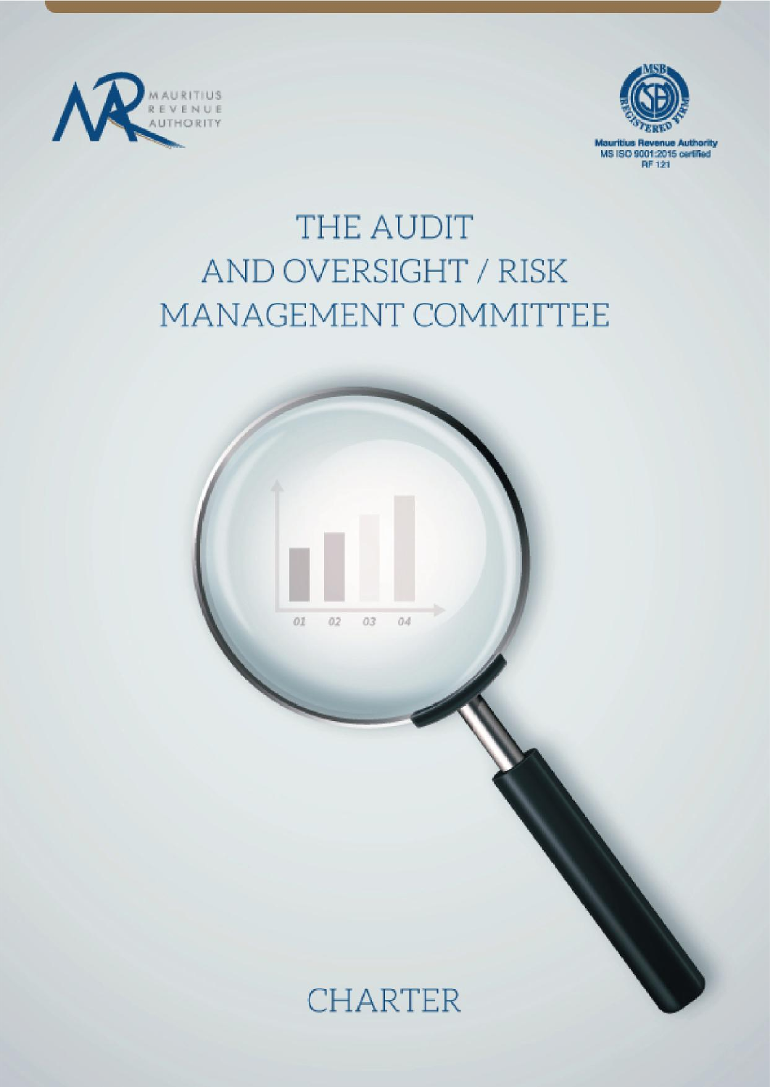



MS ISO 9001:2015 certified **RF 121** 

# THE AUDIT AND OVERSIGHT / RISK MANAGEMENT COMMITTEE



**CHARTER**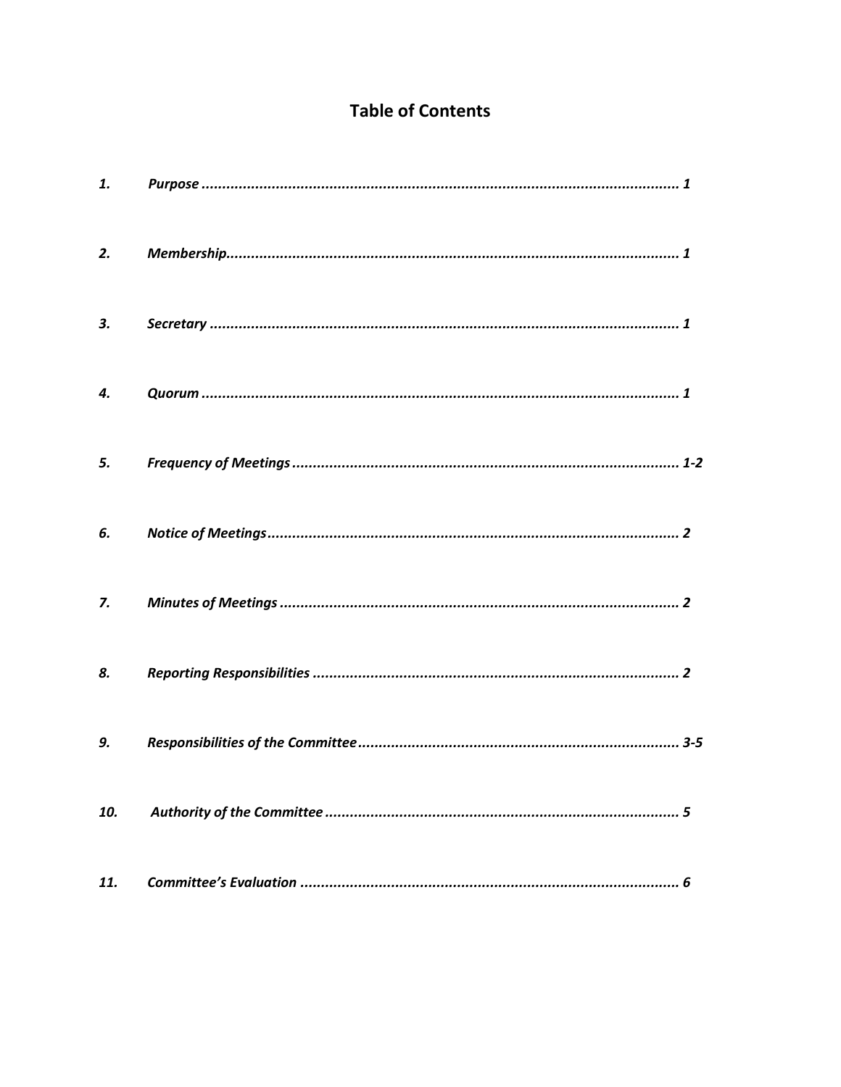# **Table of Contents**

| 1.  |  |
|-----|--|
| 2.  |  |
| З.  |  |
| 4.  |  |
| 5.  |  |
| 6.  |  |
| 7.  |  |
| 8.  |  |
| 9.  |  |
| 10. |  |
| 11. |  |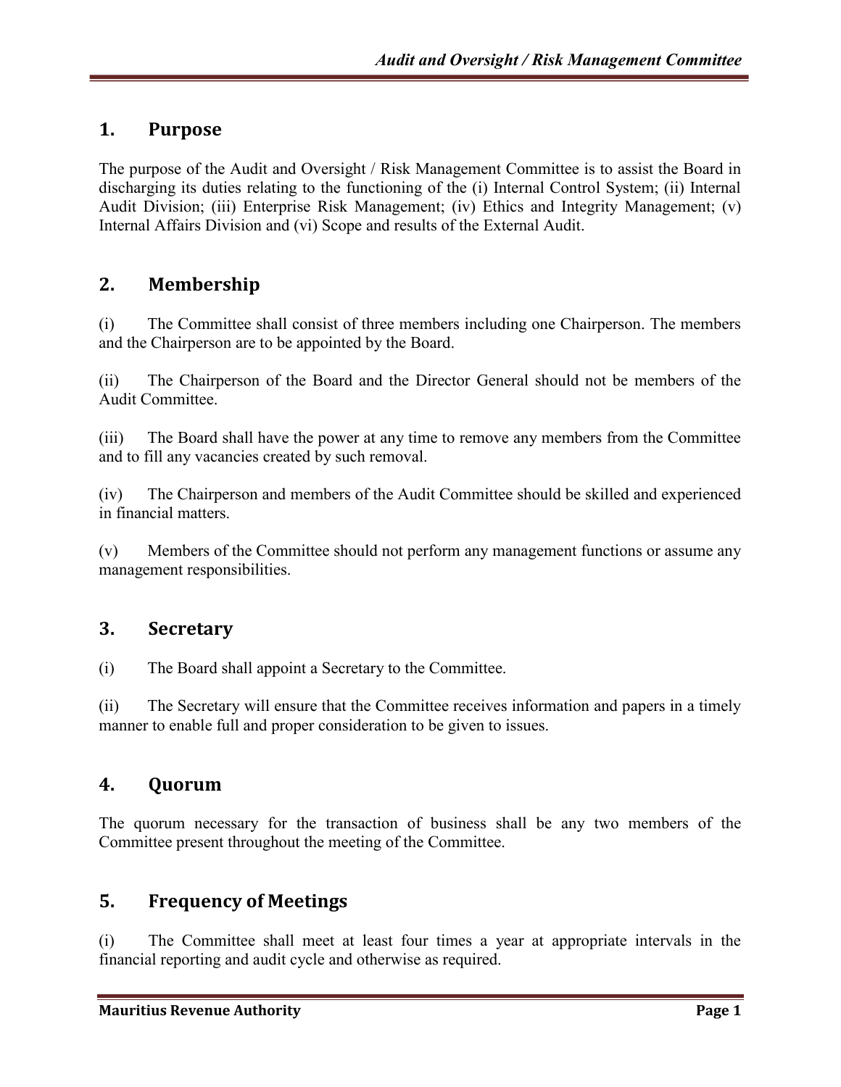## **1. Purpose**

The purpose of the Audit and Oversight / Risk Management Committee is to assist the Board in discharging its duties relating to the functioning of the (i) Internal Control System; (ii) Internal Audit Division; (iii) Enterprise Risk Management; (iv) Ethics and Integrity Management; (v) Internal Affairs Division and (vi) Scope and results of the External Audit.

## **2. Membership**

(i) The Committee shall consist of three members including one Chairperson. The members and the Chairperson are to be appointed by the Board.

(ii) The Chairperson of the Board and the Director General should not be members of the Audit Committee.

(iii) The Board shall have the power at any time to remove any members from the Committee and to fill any vacancies created by such removal.

(iv) The Chairperson and members of the Audit Committee should be skilled and experienced in financial matters.

(v) Members of the Committee should not perform any management functions or assume any management responsibilities.

#### **3. Secretary**

(i) The Board shall appoint a Secretary to the Committee.

(ii) The Secretary will ensure that the Committee receives information and papers in a timely manner to enable full and proper consideration to be given to issues.

#### **4. Quorum**

The quorum necessary for the transaction of business shall be any two members of the Committee present throughout the meeting of the Committee.

#### **5. Frequency of Meetings**

(i) The Committee shall meet at least four times a year at appropriate intervals in the financial reporting and audit cycle and otherwise as required.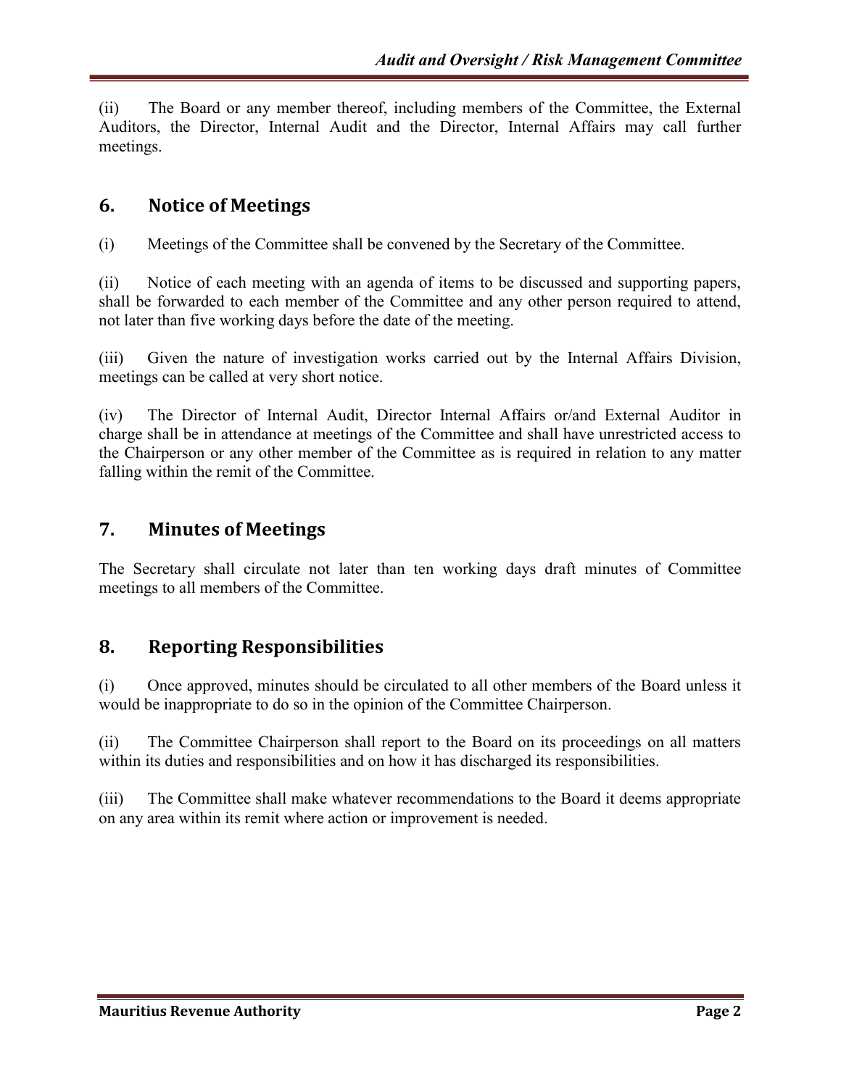(ii) The Board or any member thereof, including members of the Committee, the External Auditors, the Director, Internal Audit and the Director, Internal Affairs may call further meetings.

#### **6. Notice of Meetings**

(i) Meetings of the Committee shall be convened by the Secretary of the Committee.

(ii) Notice of each meeting with an agenda of items to be discussed and supporting papers, shall be forwarded to each member of the Committee and any other person required to attend, not later than five working days before the date of the meeting.

(iii) Given the nature of investigation works carried out by the Internal Affairs Division, meetings can be called at very short notice.

(iv) The Director of Internal Audit, Director Internal Affairs or/and External Auditor in charge shall be in attendance at meetings of the Committee and shall have unrestricted access to the Chairperson or any other member of the Committee as is required in relation to any matter falling within the remit of the Committee.

#### **7. Minutes of Meetings**

The Secretary shall circulate not later than ten working days draft minutes of Committee meetings to all members of the Committee.

#### **8. Reporting Responsibilities**

(i) Once approved, minutes should be circulated to all other members of the Board unless it would be inappropriate to do so in the opinion of the Committee Chairperson.

(ii) The Committee Chairperson shall report to the Board on its proceedings on all matters within its duties and responsibilities and on how it has discharged its responsibilities.

(iii) The Committee shall make whatever recommendations to the Board it deems appropriate on any area within its remit where action or improvement is needed.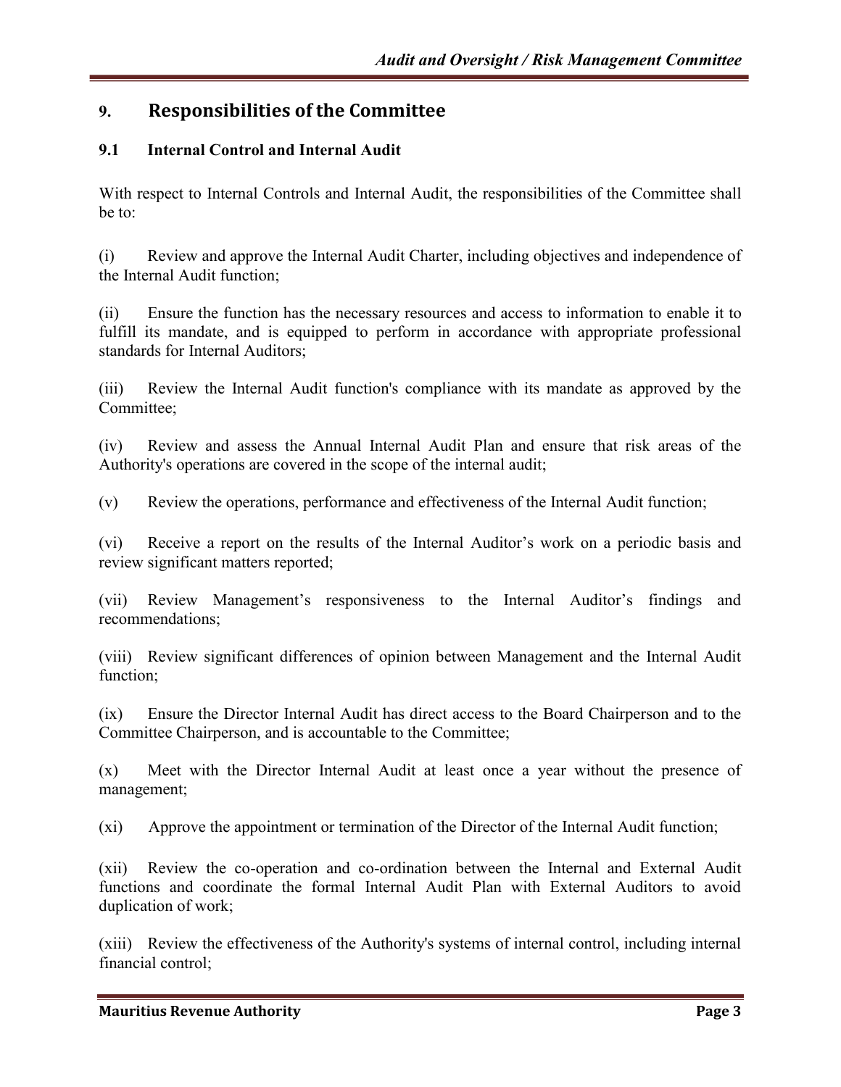# **9. Responsibilities of the Committee**

#### **9.1 Internal Control and Internal Audit**

With respect to Internal Controls and Internal Audit, the responsibilities of the Committee shall be to:

(i) Review and approve the Internal Audit Charter, including objectives and independence of the Internal Audit function;

(ii) Ensure the function has the necessary resources and access to information to enable it to fulfill its mandate, and is equipped to perform in accordance with appropriate professional standards for Internal Auditors;

(iii) Review the Internal Audit function's compliance with its mandate as approved by the Committee;

(iv) Review and assess the Annual Internal Audit Plan and ensure that risk areas of the Authority's operations are covered in the scope of the internal audit;

(v) Review the operations, performance and effectiveness of the Internal Audit function;

(vi) Receive a report on the results of the Internal Auditor's work on a periodic basis and review significant matters reported;

(vii) Review Management's responsiveness to the Internal Auditor's findings and recommendations;

(viii) Review significant differences of opinion between Management and the Internal Audit function;

(ix) Ensure the Director Internal Audit has direct access to the Board Chairperson and to the Committee Chairperson, and is accountable to the Committee;

(x) Meet with the Director Internal Audit at least once a year without the presence of management;

(xi) Approve the appointment or termination of the Director of the Internal Audit function;

(xii) Review the co-operation and co-ordination between the Internal and External Audit functions and coordinate the formal Internal Audit Plan with External Auditors to avoid duplication of work;

(xiii) Review the effectiveness of the Authority's systems of internal control, including internal financial control;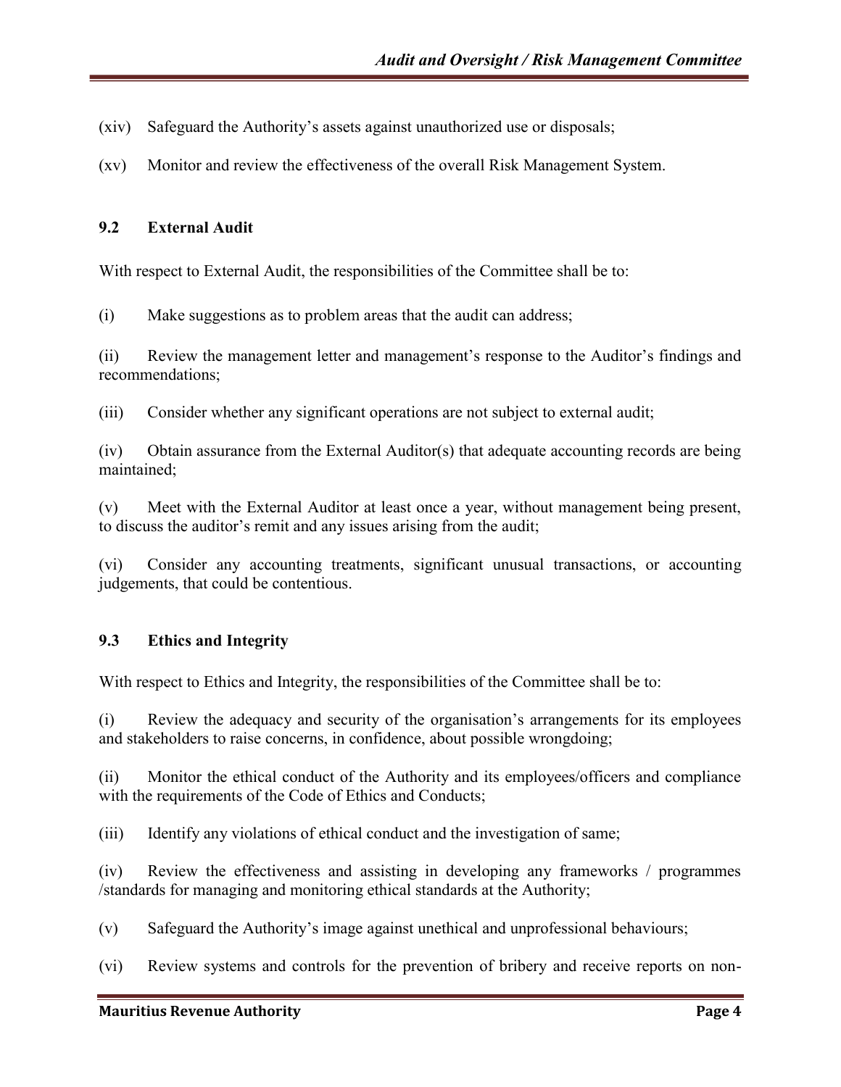- (xiv) Safeguard the Authority's assets against unauthorized use or disposals;
- (xv) Monitor and review the effectiveness of the overall Risk Management System.

#### **9.2 External Audit**

With respect to External Audit, the responsibilities of the Committee shall be to:

(i) Make suggestions as to problem areas that the audit can address;

(ii) Review the management letter and management's response to the Auditor's findings and recommendations;

(iii) Consider whether any significant operations are not subject to external audit;

(iv) Obtain assurance from the External Auditor(s) that adequate accounting records are being maintained;

(v) Meet with the External Auditor at least once a year, without management being present, to discuss the auditor's remit and any issues arising from the audit;

(vi) Consider any accounting treatments, significant unusual transactions, or accounting judgements, that could be contentious.

#### **9.3 Ethics and Integrity**

With respect to Ethics and Integrity, the responsibilities of the Committee shall be to:

 $(i)$  Review the adequacy and security of the organisation's arrangements for its employees and stakeholders to raise concerns, in confidence, about possible wrongdoing;

(ii) Monitor the ethical conduct of the Authority and its employees/officers and compliance with the requirements of the Code of Ethics and Conducts;

(iii) Identify any violations of ethical conduct and the investigation of same;

(iv) Review the effectiveness and assisting in developing any frameworks / programmes /standards for managing and monitoring ethical standards at the Authority;

(v) Safeguard the Authority's image against unethical and unprofessional behaviours;

(vi) Review systems and controls for the prevention of bribery and receive reports on non-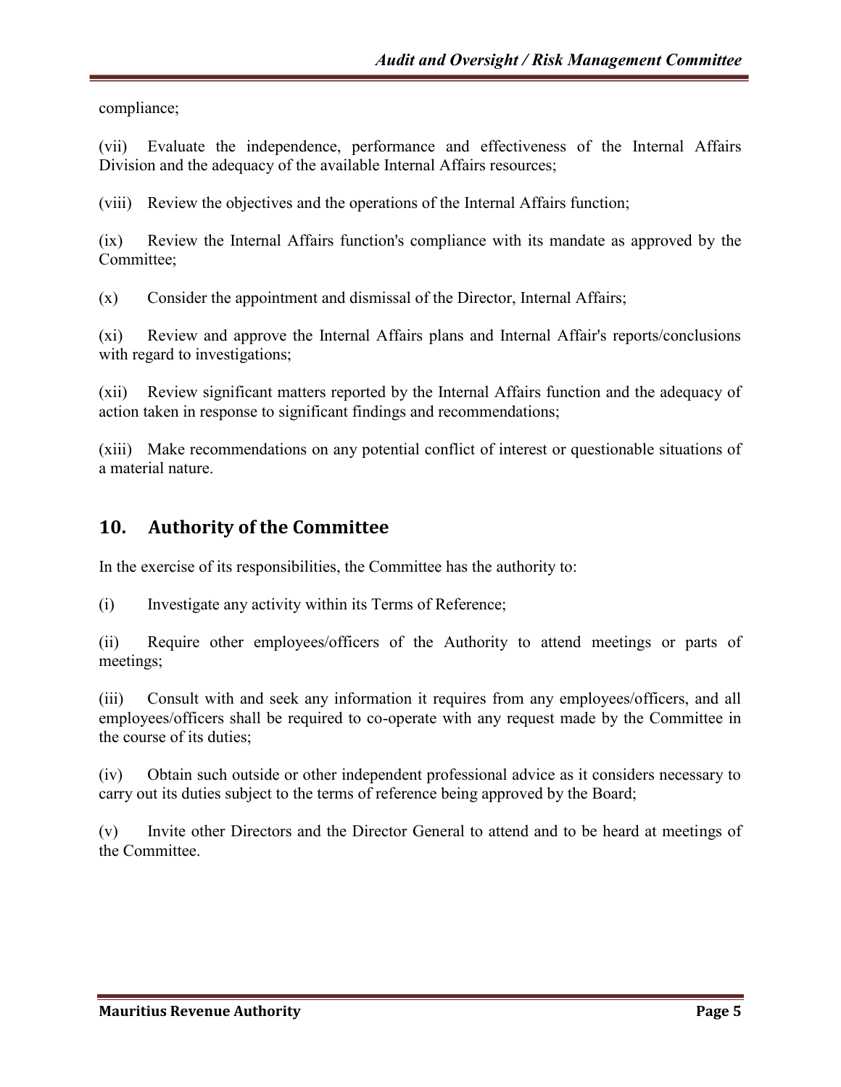compliance;

(vii) Evaluate the independence, performance and effectiveness of the Internal Affairs Division and the adequacy of the available Internal Affairs resources;

(viii) Review the objectives and the operations of the Internal Affairs function;

(ix) Review the Internal Affairs function's compliance with its mandate as approved by the Committee;

(x) Consider the appointment and dismissal of the Director, Internal Affairs;

(xi) Review and approve the Internal Affairs plans and Internal Affair's reports/conclusions with regard to investigations;

(xii) Review significant matters reported by the Internal Affairs function and the adequacy of action taken in response to significant findings and recommendations;

(xiii) Make recommendations on any potential conflict of interest or questionable situations of a material nature.

# **10. Authority of the Committee**

In the exercise of its responsibilities, the Committee has the authority to:

(i) Investigate any activity within its Terms of Reference;

(ii) Require other employees/officers of the Authority to attend meetings or parts of meetings;

(iii) Consult with and seek any information it requires from any employees/officers, and all employees/officers shall be required to co-operate with any request made by the Committee in the course of its duties;

(iv) Obtain such outside or other independent professional advice as it considers necessary to carry out its duties subject to the terms of reference being approved by the Board;

(v) Invite other Directors and the Director General to attend and to be heard at meetings of the Committee.